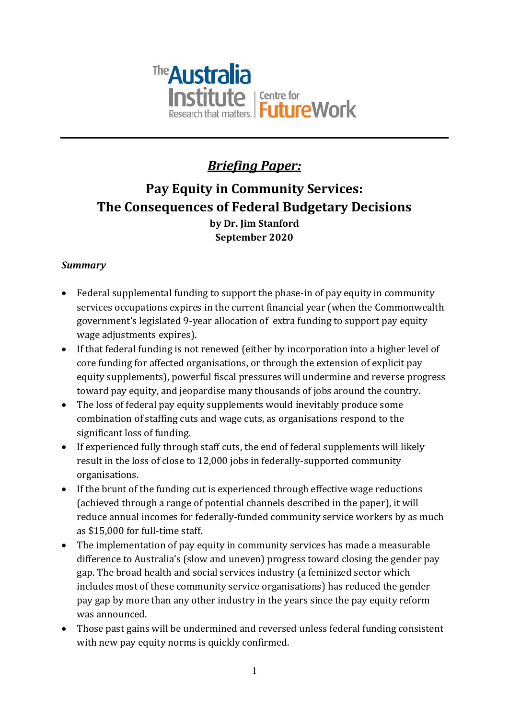

# *Briefing Paper:*

# **Pay Equity in Community Services: The Consequences of Federal Budgetary Decisions by Dr. Jim Stanford September 2020**

# *Summary*

- Federal supplemental funding to support the phase-in of pay equity in community services occupations expires in the current financial year (when the Commonwealth government's legislated 9-year allocation of extra funding to support pay equity wage adjustments expires).
- If that federal funding is not renewed (either by incorporation into a higher level of core funding for affected organisations, or through the extension of explicit pay equity supplements), powerful fiscal pressures will undermine and reverse progress toward pay equity, and jeopardise many thousands of jobs around the country.
- The loss of federal pay equity supplements would inevitably produce some combination of staffing cuts and wage cuts, as organisations respond to the significant loss of funding.
- If experienced fully through staff cuts, the end of federal supplements will likely result in the loss of close to 12,000 jobs in federally-supported community organisations.
- If the brunt of the funding cut is experienced through effective wage reductions (achieved through a range of potential channels described in the paper), it will reduce annual incomes for federally-funded community service workers by as much as \$15,000 for full-time staff.
- The implementation of pay equity in community services has made a measurable difference to Australia's (slow and uneven) progress toward closing the gender pay gap. The broad health and social services industry (a feminized sector which includes most of these community service organisations) has reduced the gender pay gap by more than any other industry in the years since the pay equity reform was announced.
- Those past gains will be undermined and reversed unless federal funding consistent with new pay equity norms is quickly confirmed.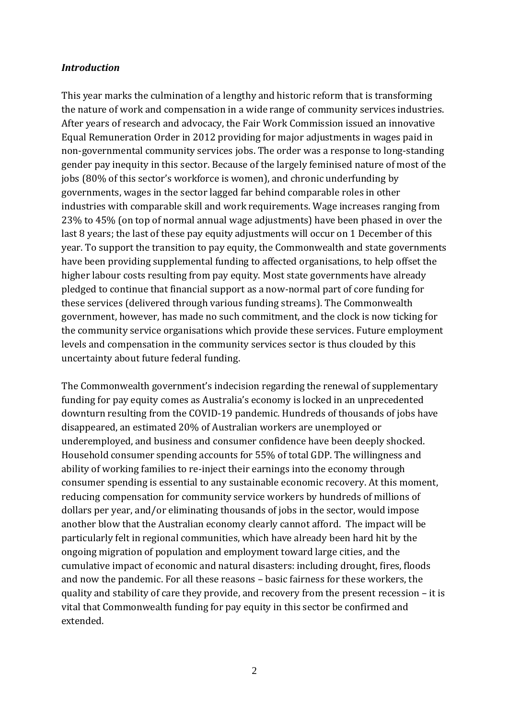#### *Introduction*

This year marks the culmination of a lengthy and historic reform that is transforming the nature of work and compensation in a wide range of community services industries. After years of research and advocacy, the Fair Work Commission issued an innovative Equal Remuneration Order in 2012 providing for major adjustments in wages paid in non-governmental community services jobs. The order was a response to long-standing gender pay inequity in this sector. Because of the largely feminised nature of most of the jobs (80% of this sector's workforce is women), and chronic underfunding by governments, wages in the sector lagged far behind comparable roles in other industries with comparable skill and work requirements. Wage increases ranging from 23% to 45% (on top of normal annual wage adjustments) have been phased in over the last 8 years; the last of these pay equity adjustments will occur on 1 December of this year. To support the transition to pay equity, the Commonwealth and state governments have been providing supplemental funding to affected organisations, to help offset the higher labour costs resulting from pay equity. Most state governments have already pledged to continue that financial support as a now-normal part of core funding for these services (delivered through various funding streams). The Commonwealth government, however, has made no such commitment, and the clock is now ticking for the community service organisations which provide these services. Future employment levels and compensation in the community services sector is thus clouded by this uncertainty about future federal funding.

The Commonwealth government's indecision regarding the renewal of supplementary funding for pay equity comes as Australia's economy is locked in an unprecedented downturn resulting from the COVID-19 pandemic. Hundreds of thousands of jobs have disappeared, an estimated 20% of Australian workers are unemployed or underemployed, and business and consumer confidence have been deeply shocked. Household consumer spending accounts for 55% of total GDP. The willingness and ability of working families to re-inject their earnings into the economy through consumer spending is essential to any sustainable economic recovery. At this moment, reducing compensation for community service workers by hundreds of millions of dollars per year, and/or eliminating thousands of jobs in the sector, would impose another blow that the Australian economy clearly cannot afford. The impact will be particularly felt in regional communities, which have already been hard hit by the ongoing migration of population and employment toward large cities, and the cumulative impact of economic and natural disasters: including drought, fires, floods and now the pandemic. For all these reasons – basic fairness for these workers, the quality and stability of care they provide, and recovery from the present recession – it is vital that Commonwealth funding for pay equity in this sector be confirmed and extended.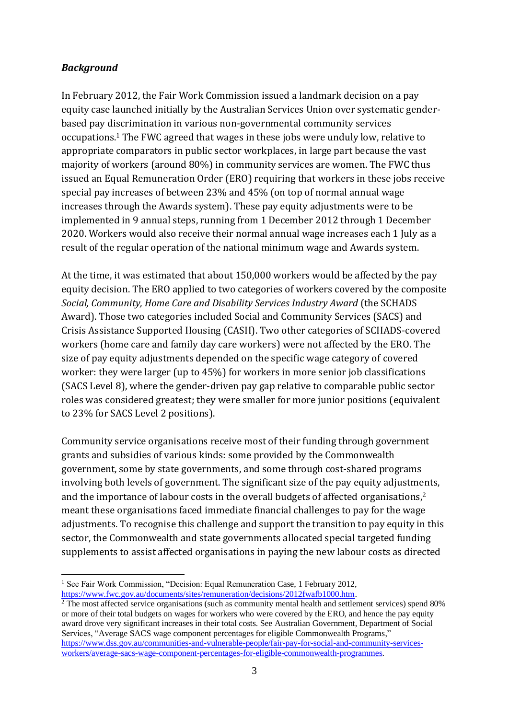# *Background*

In February 2012, the Fair Work Commission issued a landmark decision on a pay equity case launched initially by the Australian Services Union over systematic genderbased pay discrimination in various non-governmental community services occupations.<sup>1</sup> The FWC agreed that wages in these jobs were unduly low, relative to appropriate comparators in public sector workplaces, in large part because the vast majority of workers (around 80%) in community services are women. The FWC thus issued an Equal Remuneration Order (ERO) requiring that workers in these jobs receive special pay increases of between 23% and 45% (on top of normal annual wage increases through the Awards system). These pay equity adjustments were to be implemented in 9 annual steps, running from 1 December 2012 through 1 December 2020. Workers would also receive their normal annual wage increases each 1 July as a result of the regular operation of the national minimum wage and Awards system.

At the time, it was estimated that about 150,000 workers would be affected by the pay equity decision. The ERO applied to two categories of workers covered by the composite *Social, Community, Home Care and Disability Services Industry Award* (the SCHADS Award). Those two categories included Social and Community Services (SACS) and Crisis Assistance Supported Housing (CASH). Two other categories of SCHADS-covered workers (home care and family day care workers) were not affected by the ERO. The size of pay equity adjustments depended on the specific wage category of covered worker: they were larger (up to 45%) for workers in more senior job classifications (SACS Level 8), where the gender-driven pay gap relative to comparable public sector roles was considered greatest; they were smaller for more junior positions (equivalent to 23% for SACS Level 2 positions).

Community service organisations receive most of their funding through government grants and subsidies of various kinds: some provided by the Commonwealth government, some by state governments, and some through cost-shared programs involving both levels of government. The significant size of the pay equity adjustments, and the importance of labour costs in the overall budgets of affected organisations, 2 meant these organisations faced immediate financial challenges to pay for the wage adjustments. To recognise this challenge and support the transition to pay equity in this sector, the Commonwealth and state governments allocated special targeted funding supplements to assist affected organisations in paying the new labour costs as directed

<sup>&</sup>lt;sup>1</sup> See Fair Work Commission, "Decision: Equal Remuneration Case, 1 February 2012, [https://www.fwc.gov.au/documents/sites/remuneration/decisions/2012fwafb1000.htm.](https://www.fwc.gov.au/documents/sites/remuneration/decisions/2012fwafb1000.htm)

 $\frac{2}{3}$  The most affected service organisations (such as community mental health and settlement services) spend 80% or more of their total budgets on wages for workers who were covered by the ERO, and hence the pay equity award drove very significant increases in their total costs. See Australian Government, Department of Social Services, "Average SACS wage component percentages for eligible Commonwealth Programs," [https://www.dss.gov.au/communities-and-vulnerable-people/fair-pay-for-social-and-community-services](https://www.dss.gov.au/communities-and-vulnerable-people/fair-pay-for-social-and-community-services-workers/average-sacs-wage-component-percentages-for-eligible-commonwealth-programmes)[workers/average-sacs-wage-component-percentages-for-eligible-commonwealth-programmes.](https://www.dss.gov.au/communities-and-vulnerable-people/fair-pay-for-social-and-community-services-workers/average-sacs-wage-component-percentages-for-eligible-commonwealth-programmes)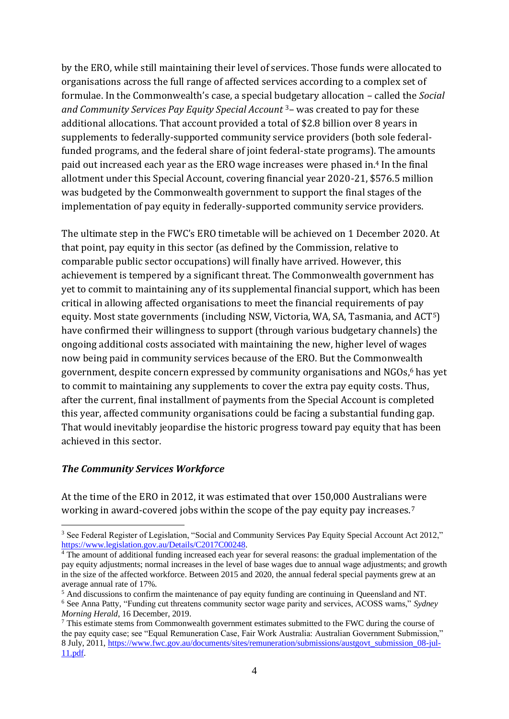by the ERO, while still maintaining their level of services. Those funds were allocated to organisations across the full range of affected services according to a complex set of formulae. In the Commonwealth's case, a special budgetary allocation – called the *Social and Community Services Pay Equity Special Account* <sup>3</sup>– was created to pay for these additional allocations. That account provided a total of \$2.8 billion over 8 years in supplements to federally-supported community service providers (both sole federalfunded programs, and the federal share of joint federal-state programs). The amounts paid out increased each year as the ERO wage increases were phased in.<sup>4</sup> In the final allotment under this Special Account, covering financial year 2020-21, \$576.5 million was budgeted by the Commonwealth government to support the final stages of the implementation of pay equity in federally-supported community service providers.

The ultimate step in the FWC's ERO timetable will be achieved on 1 December 2020. At that point, pay equity in this sector (as defined by the Commission, relative to comparable public sector occupations) will finally have arrived. However, this achievement is tempered by a significant threat. The Commonwealth government has yet to commit to maintaining any of its supplemental financial support, which has been critical in allowing affected organisations to meet the financial requirements of pay equity. Most state governments (including NSW, Victoria, WA, SA, Tasmania, and ACT5) have confirmed their willingness to support (through various budgetary channels) the ongoing additional costs associated with maintaining the new, higher level of wages now being paid in community services because of the ERO. But the Commonwealth government, despite concern expressed by community organisations and NGOs,<sup>6</sup> has yet to commit to maintaining any supplements to cover the extra pay equity costs. Thus, after the current, final installment of payments from the Special Account is completed this year, affected community organisations could be facing a substantial funding gap. That would inevitably jeopardise the historic progress toward pay equity that has been achieved in this sector.

#### *The Community Services Workforce*

At the time of the ERO in 2012, it was estimated that over 150,000 Australians were working in award-covered jobs within the scope of the pay equity pay increases.<sup>7</sup>

<sup>&</sup>lt;sup>3</sup> See Federal Register of Legislation, "Social and Community Services Pay Equity Special Account Act 2012," [https://www.legislation.gov.au/Details/C2017C00248.](https://www.legislation.gov.au/Details/C2017C00248)

<sup>&</sup>lt;sup>4</sup> The amount of additional funding increased each year for several reasons: the gradual implementation of the pay equity adjustments; normal increases in the level of base wages due to annual wage adjustments; and growth in the size of the affected workforce. Between 2015 and 2020, the annual federal special payments grew at an average annual rate of 17%.

<sup>5</sup> And discussions to confirm the maintenance of pay equity funding are continuing in Queensland and NT. <sup>6</sup> See Anna Patty, "Funding cut threatens community sector wage parity and services, ACOSS warns," *Sydney Morning Herald*, 16 December, 2019.

<sup>&</sup>lt;sup>7</sup> This estimate stems from Commonwealth government estimates submitted to the FWC during the course of the pay equity case; see "Equal Remuneration Case, Fair Work Australia: Australian Government Submission," 8 July, 2011, [https://www.fwc.gov.au/documents/sites/remuneration/submissions/austgovt\\_submission\\_08-jul-](https://www.fwc.gov.au/documents/sites/remuneration/submissions/austgovt_submission_08-jul-11.pdf)[11.pdf.](https://www.fwc.gov.au/documents/sites/remuneration/submissions/austgovt_submission_08-jul-11.pdf)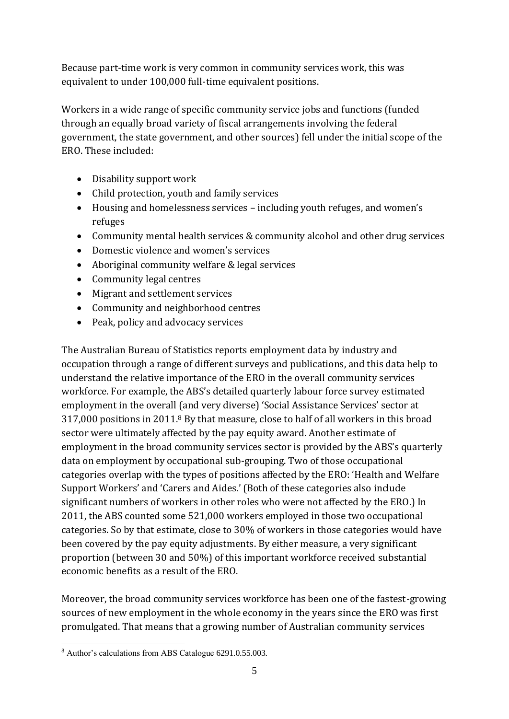Because part-time work is very common in community services work, this was equivalent to under 100,000 full-time equivalent positions.

Workers in a wide range of specific community service jobs and functions (funded through an equally broad variety of fiscal arrangements involving the federal government, the state government, and other sources) fell under the initial scope of the ERO. These included:

- Disability support work
- Child protection, youth and family services
- Housing and homelessness services including youth refuges, and women's refuges
- Community mental health services & community alcohol and other drug services
- Domestic violence and women's services
- Aboriginal community welfare & legal services
- Community legal centres
- Migrant and settlement services
- Community and neighborhood centres
- Peak, policy and advocacy services

The Australian Bureau of Statistics reports employment data by industry and occupation through a range of different surveys and publications, and this data help to understand the relative importance of the ERO in the overall community services workforce. For example, the ABS's detailed quarterly labour force survey estimated employment in the overall (and very diverse) 'Social Assistance Services' sector at 317,000 positions in 2011.<sup>8</sup> By that measure, close to half of all workers in this broad sector were ultimately affected by the pay equity award. Another estimate of employment in the broad community services sector is provided by the ABS's quarterly data on employment by occupational sub-grouping. Two of those occupational categories overlap with the types of positions affected by the ERO: 'Health and Welfare Support Workers' and 'Carers and Aides.' (Both of these categories also include significant numbers of workers in other roles who were not affected by the ERO.) In 2011, the ABS counted some 521,000 workers employed in those two occupational categories. So by that estimate, close to 30% of workers in those categories would have been covered by the pay equity adjustments. By either measure, a very significant proportion (between 30 and 50%) of this important workforce received substantial economic benefits as a result of the ERO.

Moreover, the broad community services workforce has been one of the fastest-growing sources of new employment in the whole economy in the years since the ERO was first promulgated. That means that a growing number of Australian community services

<sup>8</sup> Author's calculations from ABS Catalogue 6291.0.55.003.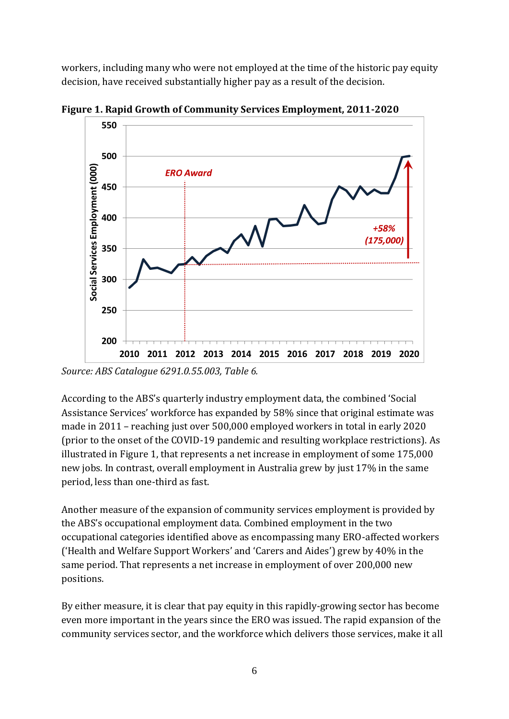workers, including many who were not employed at the time of the historic pay equity decision, have received substantially higher pay as a result of the decision.



**Figure 1. Rapid Growth of Community Services Employment, 2011-2020**

*Source: ABS Catalogue 6291.0.55.003, Table 6.*

According to the ABS's quarterly industry employment data, the combined 'Social Assistance Services' workforce has expanded by 58% since that original estimate was made in 2011 – reaching just over 500,000 employed workers in total in early 2020 (prior to the onset of the COVID-19 pandemic and resulting workplace restrictions). As illustrated in Figure 1, that represents a net increase in employment of some 175,000 new jobs. In contrast, overall employment in Australia grew by just 17% in the same period, less than one-third as fast.

Another measure of the expansion of community services employment is provided by the ABS's occupational employment data. Combined employment in the two occupational categories identified above as encompassing many ERO-affected workers ('Health and Welfare Support Workers' and 'Carers and Aides') grew by 40% in the same period. That represents a net increase in employment of over 200,000 new positions.

By either measure, it is clear that pay equity in this rapidly-growing sector has become even more important in the years since the ERO was issued. The rapid expansion of the community services sector, and the workforce which delivers those services, make it all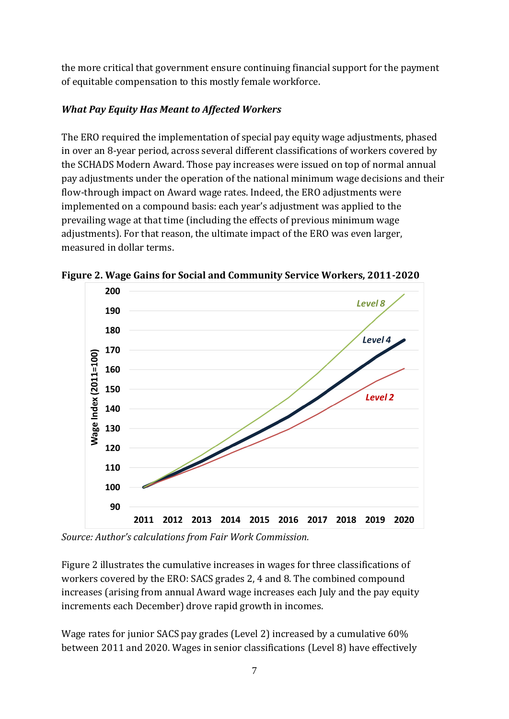the more critical that government ensure continuing financial support for the payment of equitable compensation to this mostly female workforce.

# *What Pay Equity Has Meant to Affected Workers*

The ERO required the implementation of special pay equity wage adjustments, phased in over an 8-year period, across several different classifications of workers covered by the SCHADS Modern Award. Those pay increases were issued on top of normal annual pay adjustments under the operation of the national minimum wage decisions and their flow-through impact on Award wage rates. Indeed, the ERO adjustments were implemented on a compound basis: each year's adjustment was applied to the prevailing wage at that time (including the effects of previous minimum wage adjustments). For that reason, the ultimate impact of the ERO was even larger, measured in dollar terms.



**Figure 2. Wage Gains for Social and Community Service Workers, 2011-2020**

*Source: Author's calculations from Fair Work Commission.*

Figure 2 illustrates the cumulative increases in wages for three classifications of workers covered by the ERO: SACS grades 2, 4 and 8. The combined compound increases (arising from annual Award wage increases each July and the pay equity increments each December) drove rapid growth in incomes.

Wage rates for junior SACS pay grades (Level 2) increased by a cumulative 60% between 2011 and 2020. Wages in senior classifications (Level 8) have effectively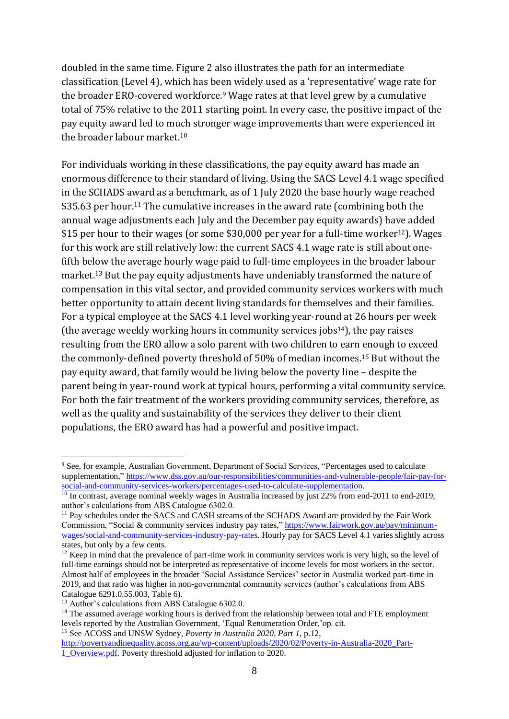doubled in the same time. Figure 2 also illustrates the path for an intermediate classification (Level 4), which has been widely used as a 'representative' wage rate for the broader ERO-covered workforce.<sup>9</sup> Wage rates at that level grew by a cumulative total of 75% relative to the 2011 starting point. In every case, the positive impact of the pay equity award led to much stronger wage improvements than were experienced in the broader labour market  $10<sup>10</sup>$ 

For individuals working in these classifications, the pay equity award has made an enormous difference to their standard of living. Using the SACS Level 4.1 wage specified in the SCHADS award as a benchmark, as of 1 July 2020 the base hourly wage reached \$35.63 per hour.<sup>11</sup> The cumulative increases in the award rate (combining both the annual wage adjustments each July and the December pay equity awards) have added \$15 per hour to their wages (or some \$30,000 per year for a full-time worker<sup>12</sup>). Wages for this work are still relatively low: the current SACS 4.1 wage rate is still about onefifth below the average hourly wage paid to full-time employees in the broader labour market.<sup>13</sup> But the pay equity adjustments have undeniably transformed the nature of compensation in this vital sector, and provided community services workers with much better opportunity to attain decent living standards for themselves and their families. For a typical employee at the SACS 4.1 level working year-round at 26 hours per week (the average weekly working hours in community services jobs $14$ ), the pay raises resulting from the ERO allow a solo parent with two children to earn enough to exceed the commonly-defined poverty threshold of 50% of median incomes.<sup>15</sup> But without the pay equity award, that family would be living below the poverty line – despite the parent being in year-round work at typical hours, performing a vital community service. For both the fair treatment of the workers providing community services, therefore, as well as the quality and sustainability of the services they deliver to their client populations, the ERO award has had a powerful and positive impact.

<sup>9</sup> See, for example, Australian Government, Department of Social Services, "Percentages used to calculate supplementation,[" https://www.dss.gov.au/our-responsibilities/communities-and-vulnerable-people/fair-pay-for](https://www.dss.gov.au/our-responsibilities/communities-and-vulnerable-people/fair-pay-for-social-and-community-services-workers/percentages-used-to-calculate-supplementation)[social-and-community-services-workers/percentages-used-to-calculate-supplementation.](https://www.dss.gov.au/our-responsibilities/communities-and-vulnerable-people/fair-pay-for-social-and-community-services-workers/percentages-used-to-calculate-supplementation)

<sup>&</sup>lt;sup>10</sup> In contrast, average nominal weekly wages in Australia increased by just 22% from end-2011 to end-2019; author's calculations from ABS Catalogue 6302.0.

<sup>&</sup>lt;sup>11</sup> Pay schedules under the SACS and CASH streams of the SCHADS Award are provided by the Fair Work Commission, "Social & community services industry pay rates," [https://www.fairwork.gov.au/pay/minimum](https://www.fairwork.gov.au/pay/minimum-wages/social-and-community-services-industry-pay-rates)[wages/social-and-community-services-industry-pay-rates.](https://www.fairwork.gov.au/pay/minimum-wages/social-and-community-services-industry-pay-rates) Hourly pay for SACS Level 4.1 varies slightly across states, but only by a few cents.

<sup>&</sup>lt;sup>12</sup> Keep in mind that the prevalence of part-time work in community services work is very high, so the level of full-time earnings should not be interpreted as representative of income levels for most workers in the sector. Almost half of employees in the broader 'Social Assistance Services' sector in Australia worked part-time in 2019, and that ratio was higher in non-governmental community services (author's calculations from ABS Catalogue 6291.0.55.003, Table 6).

<sup>&</sup>lt;sup>13</sup> Author's calculations from ABS Catalogue 6302.0.

<sup>&</sup>lt;sup>14</sup> The assumed average working hours is derived from the relationship between total and FTE employment levels reported by the Australian Government, 'Equal Renumeration Order,'op. cit.

<sup>15</sup> See ACOSS and UNSW Sydney, *Poverty in Australia 2020, Part 1*, p.12,

[http://povertyandinequality.acoss.org.au/wp-content/uploads/2020/02/Poverty-in-Australia-2020\\_Part-](http://povertyandinequality.acoss.org.au/wp-content/uploads/2020/02/Poverty-in-Australia-2020_Part-1_Overview.pdf)[1\\_Overview.pdf.](http://povertyandinequality.acoss.org.au/wp-content/uploads/2020/02/Poverty-in-Australia-2020_Part-1_Overview.pdf) Poverty threshold adjusted for inflation to 2020.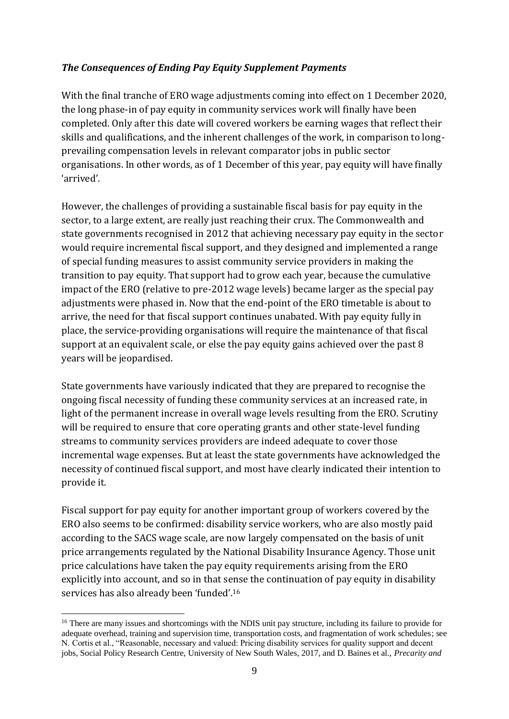# *The Consequences of Ending Pay Equity Supplement Payments*

With the final tranche of ERO wage adjustments coming into effect on 1 December 2020, the long phase-in of pay equity in community services work will finally have been completed. Only after this date will covered workers be earning wages that reflect their skills and qualifications, and the inherent challenges of the work, in comparison to longprevailing compensation levels in relevant comparator jobs in public sector organisations. In other words, as of 1 December of this year, pay equity will have finally 'arrived'.

However, the challenges of providing a sustainable fiscal basis for pay equity in the sector, to a large extent, are really just reaching their crux. The Commonwealth and state governments recognised in 2012 that achieving necessary pay equity in the sector would require incremental fiscal support, and they designed and implemented a range of special funding measures to assist community service providers in making the transition to pay equity. That support had to grow each year, because the cumulative impact of the ERO (relative to pre-2012 wage levels) became larger as the special pay adjustments were phased in. Now that the end-point of the ERO timetable is about to arrive, the need for that fiscal support continues unabated. With pay equity fully in place, the service-providing organisations will require the maintenance of that fiscal support at an equivalent scale, or else the pay equity gains achieved over the past 8 years will be jeopardised.

State governments have variously indicated that they are prepared to recognise the ongoing fiscal necessity of funding these community services at an increased rate, in light of the permanent increase in overall wage levels resulting from the ERO. Scrutiny will be required to ensure that core operating grants and other state-level funding streams to community services providers are indeed adequate to cover those incremental wage expenses. But at least the state governments have acknowledged the necessity of continued fiscal support, and most have clearly indicated their intention to provide it.

Fiscal support for pay equity for another important group of workers covered by the ERO also seems to be confirmed: disability service workers, who are also mostly paid according to the SACS wage scale, are now largely compensated on the basis of unit price arrangements regulated by the National Disability Insurance Agency. Those unit price calculations have taken the pay equity requirements arising from the ERO explicitly into account, and so in that sense the continuation of pay equity in disability services has also already been 'funded'.<sup>16</sup>

<sup>&</sup>lt;sup>16</sup> There are many issues and shortcomings with the NDIS unit pay structure, including its failure to provide for adequate overhead, training and supervision time, transportation costs, and fragmentation of work schedules; see N. Cortis et al., "Reasonable, necessary and valued: Pricing disability services for quality support and decent jobs, Social Policy Research Centre, University of New South Wales, 2017, and D. Baines et al., *Precarity and*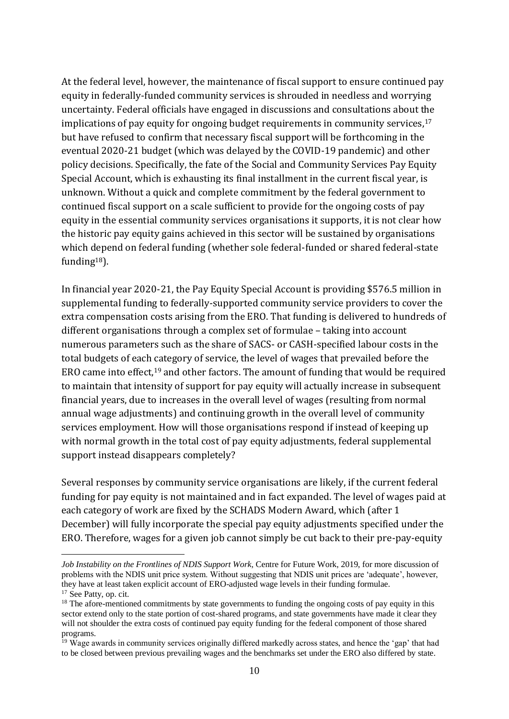At the federal level, however, the maintenance of fiscal support to ensure continued pay equity in federally-funded community services is shrouded in needless and worrying uncertainty. Federal officials have engaged in discussions and consultations about the implications of pay equity for ongoing budget requirements in community services, $17$ but have refused to confirm that necessary fiscal support will be forthcoming in the eventual 2020-21 budget (which was delayed by the COVID-19 pandemic) and other policy decisions. Specifically, the fate of the Social and Community Services Pay Equity Special Account, which is exhausting its final installment in the current fiscal year, is unknown. Without a quick and complete commitment by the federal government to continued fiscal support on a scale sufficient to provide for the ongoing costs of pay equity in the essential community services organisations it supports, it is not clear how the historic pay equity gains achieved in this sector will be sustained by organisations which depend on federal funding (whether sole federal-funded or shared federal-state funding<sup>18</sup>).

In financial year 2020-21, the Pay Equity Special Account is providing \$576.5 million in supplemental funding to federally-supported community service providers to cover the extra compensation costs arising from the ERO. That funding is delivered to hundreds of different organisations through a complex set of formulae – taking into account numerous parameters such as the share of SACS- or CASH-specified labour costs in the total budgets of each category of service, the level of wages that prevailed before the ERO came into effect,<sup>19</sup> and other factors. The amount of funding that would be required to maintain that intensity of support for pay equity will actually increase in subsequent financial years, due to increases in the overall level of wages (resulting from normal annual wage adjustments) and continuing growth in the overall level of community services employment. How will those organisations respond if instead of keeping up with normal growth in the total cost of pay equity adjustments, federal supplemental support instead disappears completely?

Several responses by community service organisations are likely, if the current federal funding for pay equity is not maintained and in fact expanded. The level of wages paid at each category of work are fixed by the SCHADS Modern Award, which (after 1 December) will fully incorporate the special pay equity adjustments specified under the ERO. Therefore, wages for a given job cannot simply be cut back to their pre-pay-equity

*Job Instability on the Frontlines of NDIS Support Work*, Centre for Future Work, 2019, for more discussion of problems with the NDIS unit price system. Without suggesting that NDIS unit prices are 'adequate', however, they have at least taken explicit account of ERO-adjusted wage levels in their funding formulae. <sup>17</sup> See Patty, op. cit.

 $18$  The afore-mentioned commitments by state governments to funding the ongoing costs of pay equity in this sector extend only to the state portion of cost-shared programs, and state governments have made it clear they will not shoulder the extra costs of continued pay equity funding for the federal component of those shared programs.

<sup>&</sup>lt;sup>19</sup> Wage awards in community services originally differed markedly across states, and hence the 'gap' that had to be closed between previous prevailing wages and the benchmarks set under the ERO also differed by state.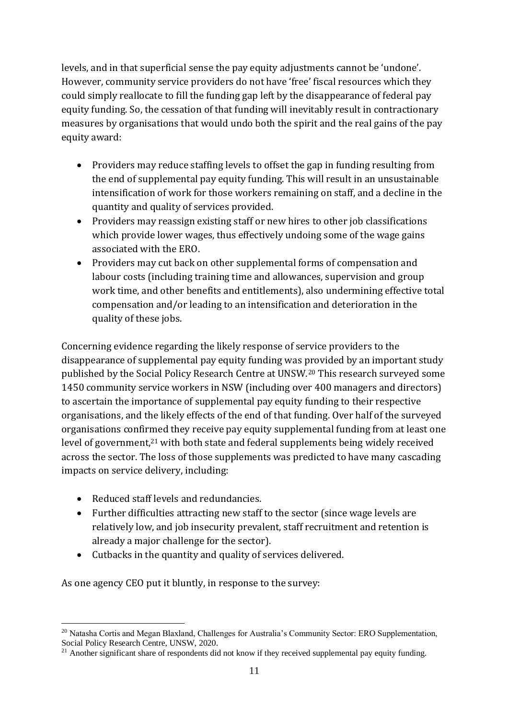levels, and in that superficial sense the pay equity adjustments cannot be 'undone'. However, community service providers do not have 'free' fiscal resources which they could simply reallocate to fill the funding gap left by the disappearance of federal pay equity funding. So, the cessation of that funding will inevitably result in contractionary measures by organisations that would undo both the spirit and the real gains of the pay equity award:

- Providers may reduce staffing levels to offset the gap in funding resulting from the end of supplemental pay equity funding. This will result in an unsustainable intensification of work for those workers remaining on staff, and a decline in the quantity and quality of services provided.
- Providers may reassign existing staff or new hires to other job classifications which provide lower wages, thus effectively undoing some of the wage gains associated with the ERO.
- Providers may cut back on other supplemental forms of compensation and labour costs (including training time and allowances, supervision and group work time, and other benefits and entitlements), also undermining effective total compensation and/or leading to an intensification and deterioration in the quality of these jobs.

Concerning evidence regarding the likely response of service providers to the disappearance of supplemental pay equity funding was provided by an important study published by the Social Policy Research Centre at UNSW.<sup>20</sup> This research surveyed some 1450 community service workers in NSW (including over 400 managers and directors) to ascertain the importance of supplemental pay equity funding to their respective organisations, and the likely effects of the end of that funding. Over half of the surveyed organisations confirmed they receive pay equity supplemental funding from at least one level of government,<sup>21</sup> with both state and federal supplements being widely received across the sector. The loss of those supplements was predicted to have many cascading impacts on service delivery, including:

- Reduced staff levels and redundancies.
- Further difficulties attracting new staff to the sector (since wage levels are relatively low, and job insecurity prevalent, staff recruitment and retention is already a major challenge for the sector).
- Cutbacks in the quantity and quality of services delivered.

As one agency CEO put it bluntly, in response to the survey:

<sup>20</sup> Natasha Cortis and Megan Blaxland, Challenges for Australia's Community Sector: ERO Supplementation, Social Policy Research Centre, UNSW, 2020.

<sup>&</sup>lt;sup>21</sup> Another significant share of respondents did not know if they received supplemental pay equity funding.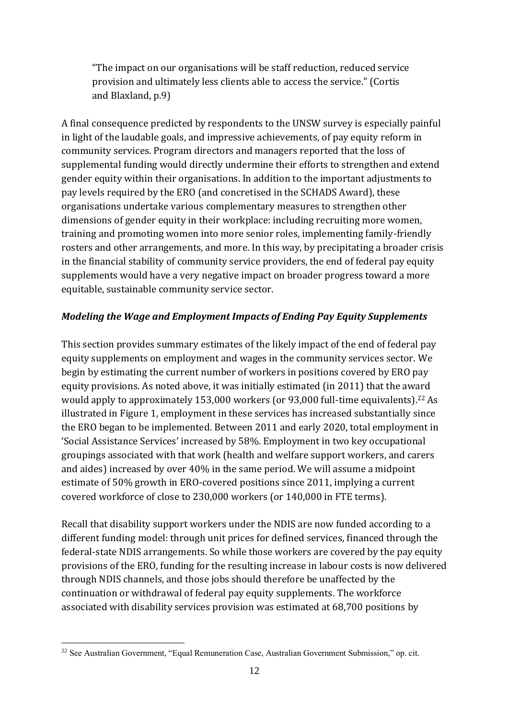"The impact on our organisations will be staff reduction, reduced service provision and ultimately less clients able to access the service." (Cortis and Blaxland, p.9)

A final consequence predicted by respondents to the UNSW survey is especially painful in light of the laudable goals, and impressive achievements, of pay equity reform in community services. Program directors and managers reported that the loss of supplemental funding would directly undermine their efforts to strengthen and extend gender equity within their organisations. In addition to the important adjustments to pay levels required by the ERO (and concretised in the SCHADS Award), these organisations undertake various complementary measures to strengthen other dimensions of gender equity in their workplace: including recruiting more women, training and promoting women into more senior roles, implementing family-friendly rosters and other arrangements, and more. In this way, by precipitating a broader crisis in the financial stability of community service providers, the end of federal pay equity supplements would have a very negative impact on broader progress toward a more equitable, sustainable community service sector.

# *Modeling the Wage and Employment Impacts of Ending Pay Equity Supplements*

This section provides summary estimates of the likely impact of the end of federal pay equity supplements on employment and wages in the community services sector. We begin by estimating the current number of workers in positions covered by ERO pay equity provisions. As noted above, it was initially estimated (in 2011) that the award would apply to approximately 153,000 workers (or 93,000 full-time equivalents).<sup>22</sup> As illustrated in Figure 1, employment in these services has increased substantially since the ERO began to be implemented. Between 2011 and early 2020, total employment in 'Social Assistance Services' increased by 58%. Employment in two key occupational groupings associated with that work (health and welfare support workers, and carers and aides) increased by over 40% in the same period. We will assume a midpoint estimate of 50% growth in ERO-covered positions since 2011, implying a current covered workforce of close to 230,000 workers (or 140,000 in FTE terms).

Recall that disability support workers under the NDIS are now funded according to a different funding model: through unit prices for defined services, financed through the federal-state NDIS arrangements. So while those workers are covered by the pay equity provisions of the ERO, funding for the resulting increase in labour costs is now delivered through NDIS channels, and those jobs should therefore be unaffected by the continuation or withdrawal of federal pay equity supplements. The workforce associated with disability services provision was estimated at 68,700 positions by

<sup>&</sup>lt;sup>22</sup> See Australian Government, "Equal Remuneration Case, Australian Government Submission," op. cit.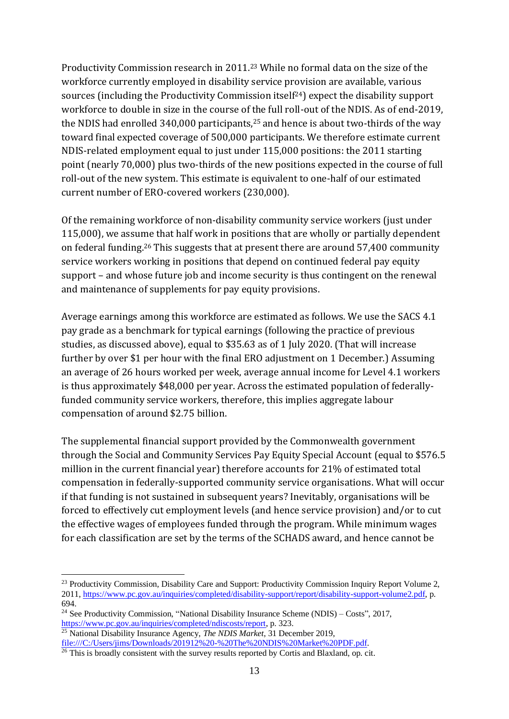Productivity Commission research in 2011.<sup>23</sup> While no formal data on the size of the workforce currently employed in disability service provision are available, various sources (including the Productivity Commission itself<sup>24</sup>) expect the disability support workforce to double in size in the course of the full roll-out of the NDIS. As of end-2019, the NDIS had enrolled 340,000 participants, $25$  and hence is about two-thirds of the way toward final expected coverage of 500,000 participants. We therefore estimate current NDIS-related employment equal to just under 115,000 positions: the 2011 starting point (nearly 70,000) plus two-thirds of the new positions expected in the course of full roll-out of the new system. This estimate is equivalent to one-half of our estimated current number of ERO-covered workers (230,000).

Of the remaining workforce of non-disability community service workers (just under 115,000), we assume that half work in positions that are wholly or partially dependent on federal funding.<sup>26</sup> This suggests that at present there are around 57,400 community service workers working in positions that depend on continued federal pay equity support – and whose future job and income security is thus contingent on the renewal and maintenance of supplements for pay equity provisions.

Average earnings among this workforce are estimated as follows. We use the SACS 4.1 pay grade as a benchmark for typical earnings (following the practice of previous studies, as discussed above), equal to \$35.63 as of 1 July 2020. (That will increase further by over \$1 per hour with the final ERO adjustment on 1 December.) Assuming an average of 26 hours worked per week, average annual income for Level 4.1 workers is thus approximately \$48,000 per year. Across the estimated population of federallyfunded community service workers, therefore, this implies aggregate labour compensation of around \$2.75 billion.

The supplemental financial support provided by the Commonwealth government through the Social and Community Services Pay Equity Special Account (equal to \$576.5 million in the current financial year) therefore accounts for 21% of estimated total compensation in federally-supported community service organisations. What will occur if that funding is not sustained in subsequent years? Inevitably, organisations will be forced to effectively cut employment levels (and hence service provision) and/or to cut the effective wages of employees funded through the program. While minimum wages for each classification are set by the terms of the SCHADS award, and hence cannot be

<sup>&</sup>lt;sup>23</sup> Productivity Commission, Disability Care and Support: Productivity Commission Inquiry Report Volume 2, 2011, [https://www.pc.gov.au/inquiries/completed/disability-support/report/disability-support-volume2.pdf,](https://www.pc.gov.au/inquiries/completed/disability-support/report/disability-support-volume2.pdf) p. 694.

<sup>&</sup>lt;sup>24</sup> See Productivity Commission, "National Disability Insurance Scheme (NDIS) – Costs", 2017, [https://www.pc.gov.au/inquiries/completed/ndiscosts/report,](https://www.pc.gov.au/inquiries/completed/ndiscosts/report) p. 323.

<sup>25</sup> National Disability Insurance Agency, *The NDIS Market*, 31 December 2019, [file:///C:/Users/jims/Downloads/201912%20-%20The%20NDIS%20Market%20PDF.pdf.](file:///C:/Users/jims/Downloads/201912%20-%20The%20NDIS%20Market%20PDF.pdf)

 $\frac{26}{10}$  This is broadly consistent with the survey results reported by Cortis and Blaxland, op. cit.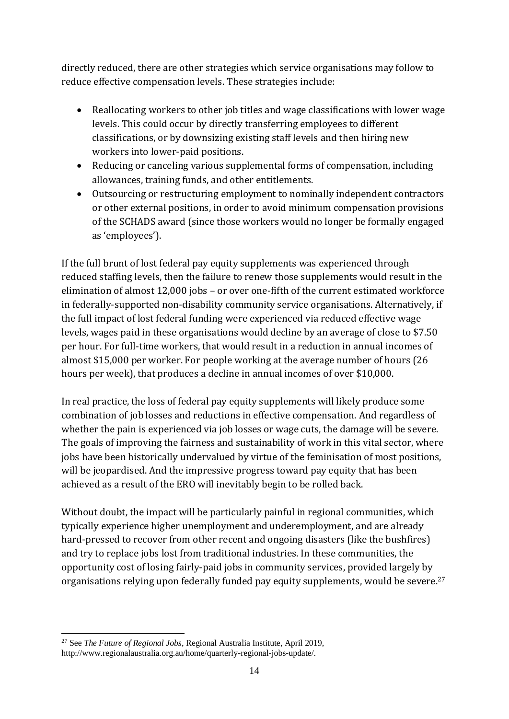directly reduced, there are other strategies which service organisations may follow to reduce effective compensation levels. These strategies include:

- Reallocating workers to other job titles and wage classifications with lower wage levels. This could occur by directly transferring employees to different classifications, or by downsizing existing staff levels and then hiring new workers into lower-paid positions.
- Reducing or canceling various supplemental forms of compensation, including allowances, training funds, and other entitlements.
- Outsourcing or restructuring employment to nominally independent contractors or other external positions, in order to avoid minimum compensation provisions of the SCHADS award (since those workers would no longer be formally engaged as 'employees').

If the full brunt of lost federal pay equity supplements was experienced through reduced staffing levels, then the failure to renew those supplements would result in the elimination of almost 12,000 jobs – or over one-fifth of the current estimated workforce in federally-supported non-disability community service organisations. Alternatively, if the full impact of lost federal funding were experienced via reduced effective wage levels, wages paid in these organisations would decline by an average of close to \$7.50 per hour. For full-time workers, that would result in a reduction in annual incomes of almost \$15,000 per worker. For people working at the average number of hours (26 hours per week), that produces a decline in annual incomes of over \$10,000.

In real practice, the loss of federal pay equity supplements will likely produce some combination of job losses and reductions in effective compensation. And regardless of whether the pain is experienced via job losses or wage cuts, the damage will be severe. The goals of improving the fairness and sustainability of work in this vital sector, where jobs have been historically undervalued by virtue of the feminisation of most positions, will be jeopardised. And the impressive progress toward pay equity that has been achieved as a result of the ERO will inevitably begin to be rolled back.

Without doubt, the impact will be particularly painful in regional communities, which typically experience higher unemployment and underemployment, and are already hard-pressed to recover from other recent and ongoing disasters (like the bushfires) and try to replace jobs lost from traditional industries. In these communities, the opportunity cost of losing fairly-paid jobs in community services, provided largely by organisations relying upon federally funded pay equity supplements, would be severe. 27

<sup>27</sup> See *The Future of Regional Jobs*, Regional Australia Institute, April 2019, http://www.regionalaustralia.org.au/home/quarterly-regional-jobs-update/.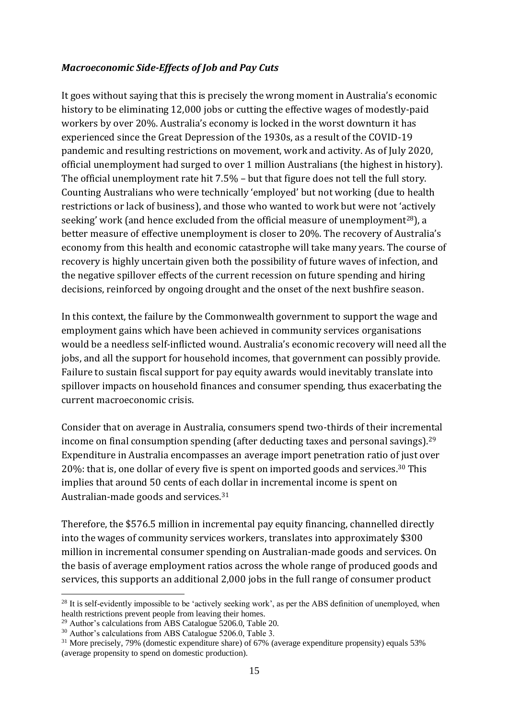### *Macroeconomic Side-Effects of Job and Pay Cuts*

It goes without saying that this is precisely the wrong moment in Australia's economic history to be eliminating 12,000 jobs or cutting the effective wages of modestly-paid workers by over 20%. Australia's economy is locked in the worst downturn it has experienced since the Great Depression of the 1930s, as a result of the COVID-19 pandemic and resulting restrictions on movement, work and activity. As of July 2020, official unemployment had surged to over 1 million Australians (the highest in history). The official unemployment rate hit 7.5% – but that figure does not tell the full story. Counting Australians who were technically 'employed' but not working (due to health restrictions or lack of business), and those who wanted to work but were not 'actively seeking' work (and hence excluded from the official measure of unemployment<sup>28</sup>), a better measure of effective unemployment is closer to 20%. The recovery of Australia's economy from this health and economic catastrophe will take many years. The course of recovery is highly uncertain given both the possibility of future waves of infection, and the negative spillover effects of the current recession on future spending and hiring decisions, reinforced by ongoing drought and the onset of the next bushfire season.

In this context, the failure by the Commonwealth government to support the wage and employment gains which have been achieved in community services organisations would be a needless self-inflicted wound. Australia's economic recovery will need all the jobs, and all the support for household incomes, that government can possibly provide. Failure to sustain fiscal support for pay equity awards would inevitably translate into spillover impacts on household finances and consumer spending, thus exacerbating the current macroeconomic crisis.

Consider that on average in Australia, consumers spend two-thirds of their incremental income on final consumption spending (after deducting taxes and personal savings).<sup>29</sup> Expenditure in Australia encompasses an average import penetration ratio of just over 20%: that is, one dollar of every five is spent on imported goods and services.<sup>30</sup> This implies that around 50 cents of each dollar in incremental income is spent on Australian-made goods and services.<sup>31</sup>

Therefore, the \$576.5 million in incremental pay equity financing, channelled directly into the wages of community services workers, translates into approximately \$300 million in incremental consumer spending on Australian-made goods and services. On the basis of average employment ratios across the whole range of produced goods and services, this supports an additional 2,000 jobs in the full range of consumer product

<sup>&</sup>lt;sup>28</sup> It is self-evidently impossible to be 'actively seeking work', as per the ABS definition of unemployed, when health restrictions prevent people from leaving their homes.

<sup>29</sup> Author's calculations from ABS Catalogue 5206.0, Table 20.

<sup>&</sup>lt;sup>30</sup> Author's calculations from ABS Catalogue 5206.0, Table 3.

<sup>&</sup>lt;sup>31</sup> More precisely, 79% (domestic expenditure share) of 67% (average expenditure propensity) equals 53% (average propensity to spend on domestic production).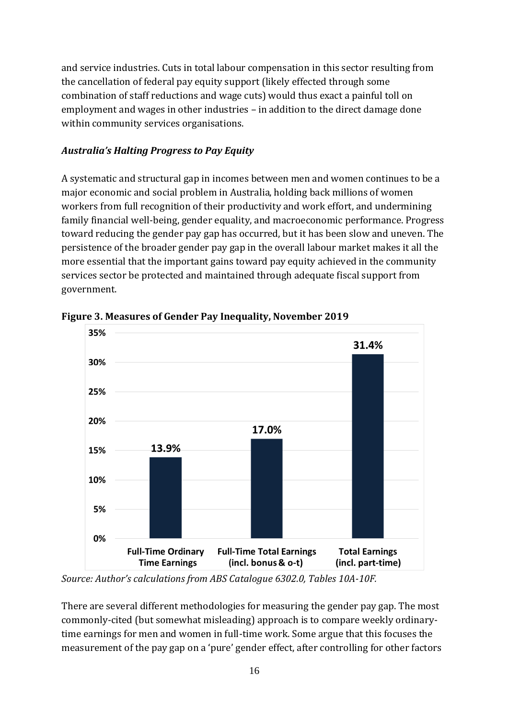and service industries. Cuts in total labour compensation in this sector resulting from the cancellation of federal pay equity support (likely effected through some combination of staff reductions and wage cuts) would thus exact a painful toll on employment and wages in other industries – in addition to the direct damage done within community services organisations.

# *Australia's Halting Progress to Pay Equity*

A systematic and structural gap in incomes between men and women continues to be a major economic and social problem in Australia, holding back millions of women workers from full recognition of their productivity and work effort, and undermining family financial well-being, gender equality, and macroeconomic performance. Progress toward reducing the gender pay gap has occurred, but it has been slow and uneven. The persistence of the broader gender pay gap in the overall labour market makes it all the more essential that the important gains toward pay equity achieved in the community services sector be protected and maintained through adequate fiscal support from government.



**Figure 3. Measures of Gender Pay Inequality, November 2019**

*Source: Author's calculations from ABS Catalogue 6302.0, Tables 10A-10F.*

There are several different methodologies for measuring the gender pay gap. The most commonly-cited (but somewhat misleading) approach is to compare weekly ordinarytime earnings for men and women in full-time work. Some argue that this focuses the measurement of the pay gap on a 'pure' gender effect, after controlling for other factors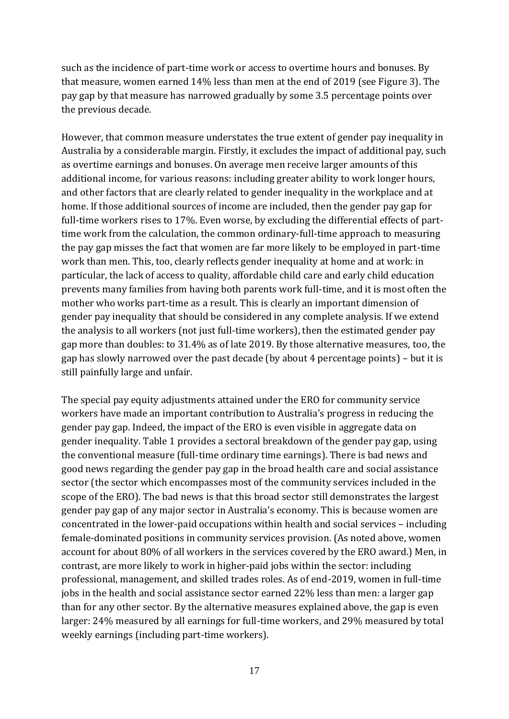such as the incidence of part-time work or access to overtime hours and bonuses. By that measure, women earned 14% less than men at the end of 2019 (see Figure 3). The pay gap by that measure has narrowed gradually by some 3.5 percentage points over the previous decade.

However, that common measure understates the true extent of gender pay inequality in Australia by a considerable margin. Firstly, it excludes the impact of additional pay, such as overtime earnings and bonuses. On average men receive larger amounts of this additional income, for various reasons: including greater ability to work longer hours, and other factors that are clearly related to gender inequality in the workplace and at home. If those additional sources of income are included, then the gender pay gap for full-time workers rises to 17%. Even worse, by excluding the differential effects of parttime work from the calculation, the common ordinary-full-time approach to measuring the pay gap misses the fact that women are far more likely to be employed in part-time work than men. This, too, clearly reflects gender inequality at home and at work: in particular, the lack of access to quality, affordable child care and early child education prevents many families from having both parents work full-time, and it is most often the mother who works part-time as a result. This is clearly an important dimension of gender pay inequality that should be considered in any complete analysis. If we extend the analysis to all workers (not just full-time workers), then the estimated gender pay gap more than doubles: to 31.4% as of late 2019. By those alternative measures, too, the gap has slowly narrowed over the past decade (by about 4 percentage points) – but it is still painfully large and unfair.

The special pay equity adjustments attained under the ERO for community service workers have made an important contribution to Australia's progress in reducing the gender pay gap. Indeed, the impact of the ERO is even visible in aggregate data on gender inequality. Table 1 provides a sectoral breakdown of the gender pay gap, using the conventional measure (full-time ordinary time earnings). There is bad news and good news regarding the gender pay gap in the broad health care and social assistance sector (the sector which encompasses most of the community services included in the scope of the ERO). The bad news is that this broad sector still demonstrates the largest gender pay gap of any major sector in Australia's economy. This is because women are concentrated in the lower-paid occupations within health and social services – including female-dominated positions in community services provision. (As noted above, women account for about 80% of all workers in the services covered by the ERO award.) Men, in contrast, are more likely to work in higher-paid jobs within the sector: including professional, management, and skilled trades roles. As of end-2019, women in full-time jobs in the health and social assistance sector earned 22% less than men: a larger gap than for any other sector. By the alternative measures explained above, the gap is even larger: 24% measured by all earnings for full-time workers, and 29% measured by total weekly earnings (including part-time workers).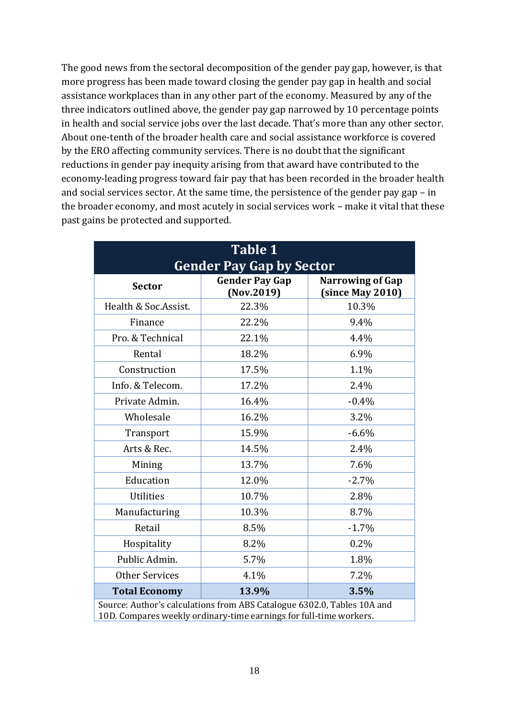The good news from the sectoral decomposition of the gender pay gap, however, is that more progress has been made toward closing the gender pay gap in health and social assistance workplaces than in any other part of the economy. Measured by any of the three indicators outlined above, the gender pay gap narrowed by 10 percentage points in health and social service jobs over the last decade. That's more than any other sector. About one-tenth of the broader health care and social assistance workforce is covered by the ERO affecting community services. There is no doubt that the significant reductions in gender pay inequity arising from that award have contributed to the economy-leading progress toward fair pay that has been recorded in the broader health and social services sector. At the same time, the persistence of the gender pay gap – in the broader economy, and most acutely in social services work – make it vital that these past gains be protected and supported.

| <b>Table 1</b>                                                                                                                                |                                     |                                             |
|-----------------------------------------------------------------------------------------------------------------------------------------------|-------------------------------------|---------------------------------------------|
| <b>Gender Pay Gap by Sector</b>                                                                                                               |                                     |                                             |
| <b>Sector</b>                                                                                                                                 | <b>Gender Pay Gap</b><br>(Nov.2019) | <b>Narrowing of Gap</b><br>(since May 2010) |
| Health & Soc.Assist.                                                                                                                          | 22.3%                               | 10.3%                                       |
| Finance                                                                                                                                       | 22.2%                               | 9.4%                                        |
| Pro. & Technical                                                                                                                              | 22.1%                               | 4.4%                                        |
| Rental                                                                                                                                        | 18.2%                               | 6.9%                                        |
| Construction                                                                                                                                  | 17.5%                               | 1.1%                                        |
| Info. & Telecom.                                                                                                                              | 17.2%                               | 2.4%                                        |
| Private Admin.                                                                                                                                | 16.4%                               | $-0.4%$                                     |
| Wholesale                                                                                                                                     | 16.2%                               | 3.2%                                        |
| Transport                                                                                                                                     | 15.9%                               | $-6.6%$                                     |
| Arts & Rec.                                                                                                                                   | 14.5%                               | 2.4%                                        |
| Mining                                                                                                                                        | 13.7%                               | 7.6%                                        |
| Education                                                                                                                                     | 12.0%                               | $-2.7%$                                     |
| <b>Utilities</b>                                                                                                                              | 10.7%                               | 2.8%                                        |
| Manufacturing                                                                                                                                 | 10.3%                               | 8.7%                                        |
| Retail                                                                                                                                        | 8.5%                                | $-1.7%$                                     |
| Hospitality                                                                                                                                   | 8.2%                                | 0.2%                                        |
| Public Admin.                                                                                                                                 | 5.7%                                | 1.8%                                        |
| <b>Other Services</b>                                                                                                                         | 4.1%                                | 7.2%                                        |
| <b>Total Economy</b>                                                                                                                          | 13.9%                               | 3.5%                                        |
| Source: Author's calculations from ABS Catalogue 6302.0, Tables 10A and<br>10D. Compares weekly ordinary-time earnings for full-time workers. |                                     |                                             |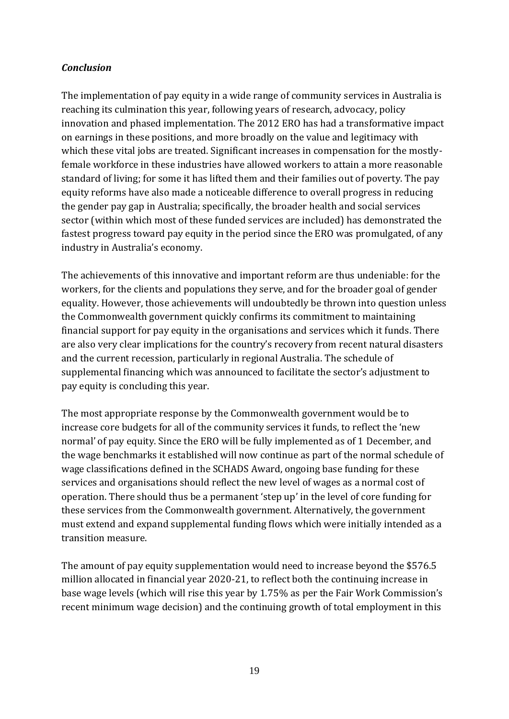# *Conclusion*

The implementation of pay equity in a wide range of community services in Australia is reaching its culmination this year, following years of research, advocacy, policy innovation and phased implementation. The 2012 ERO has had a transformative impact on earnings in these positions, and more broadly on the value and legitimacy with which these vital jobs are treated. Significant increases in compensation for the mostlyfemale workforce in these industries have allowed workers to attain a more reasonable standard of living; for some it has lifted them and their families out of poverty. The pay equity reforms have also made a noticeable difference to overall progress in reducing the gender pay gap in Australia; specifically, the broader health and social services sector (within which most of these funded services are included) has demonstrated the fastest progress toward pay equity in the period since the ERO was promulgated, of any industry in Australia's economy.

The achievements of this innovative and important reform are thus undeniable: for the workers, for the clients and populations they serve, and for the broader goal of gender equality. However, those achievements will undoubtedly be thrown into question unless the Commonwealth government quickly confirms its commitment to maintaining financial support for pay equity in the organisations and services which it funds. There are also very clear implications for the country's recovery from recent natural disasters and the current recession, particularly in regional Australia. The schedule of supplemental financing which was announced to facilitate the sector's adjustment to pay equity is concluding this year.

The most appropriate response by the Commonwealth government would be to increase core budgets for all of the community services it funds, to reflect the 'new normal' of pay equity. Since the ERO will be fully implemented as of 1 December, and the wage benchmarks it established will now continue as part of the normal schedule of wage classifications defined in the SCHADS Award, ongoing base funding for these services and organisations should reflect the new level of wages as a normal cost of operation. There should thus be a permanent 'step up' in the level of core funding for these services from the Commonwealth government. Alternatively, the government must extend and expand supplemental funding flows which were initially intended as a transition measure.

The amount of pay equity supplementation would need to increase beyond the \$576.5 million allocated in financial year 2020-21, to reflect both the continuing increase in base wage levels (which will rise this year by 1.75% as per the Fair Work Commission's recent minimum wage decision) and the continuing growth of total employment in this